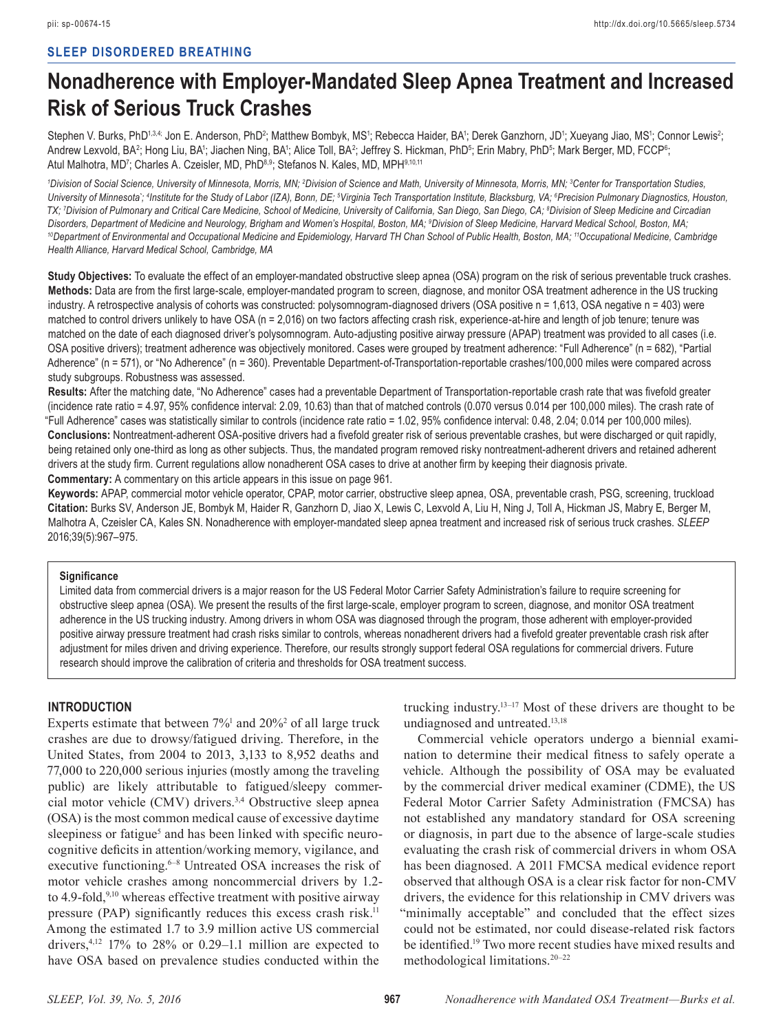# **SLEEP DISORDERED BREATHING**

# **Nonadherence with Employer-Mandated Sleep Apnea Treatment and Increased Risk of Serious Truck Crashes**

Stephen V. Burks, PhD<sup>1,3,4;</sup> Jon E. Anderson, PhD<sup>2</sup>; Matthew Bombyk, MS<sup>1</sup>; Rebecca Haider, BA<sup>1</sup>; Derek Ganzhorn, JD<sup>1</sup>; Xueyang Jiao, MS<sup>1</sup>; Connor Lewis<sup>2</sup>; Andrew Lexvold, BA<sup>2</sup>; Hong Liu, BA'; Jiachen Ning, BA'; Alice Toll, BA<sup>2</sup>; Jeffrey S. Hickman, PhD<sup>5</sup>; Erin Mabry, PhD<sup>5</sup>; Mark Berger, MD, FCCP<sup>s</sup>; Atul Malhotra, MD<sup>7</sup>; Charles A. Czeisler, MD, PhD<sup>8,9</sup>; Stefanos N. Kales, MD, MPH<sup>9,10,11</sup>

<sup>1</sup>Division of Social Science, University of Minnesota, Morris, MN; <sup>2</sup>Division of Science and Math, University of Minnesota, Morris, MN; <sup>3</sup>Center for Transportation Studies, University of Minnesota`; <sup>4</sup>Institute for the Study of Labor (IZA), Bonn, DE; <sup>5</sup>Virginia Tech Transportation Institute, Blacksburg, VA; <sup>6</sup>Precision Pulmonary Diagnostics, Houston, *TX; 7 Division of Pulmonary and Critical Care Medicine, School of Medicine, University of California, San Diego, San Diego, CA; 8 Division of Sleep Medicine and Circadian*  Disorders, Department of Medicine and Neurology, Brigham and Women's Hospital, Boston, MA; <sup>9</sup>Division of Sleep Medicine, Harvard Medical School, Boston, MA; <sup>10</sup>Department of Environmental and Occupational Medicine and Epidemiology, Harvard TH Chan School of Public Health, Boston, MA; <sup>11</sup>Occupational Medicine, Cambridge *Health Alliance, Harvard Medical School, Cambridge, MA*

**Study Objectives:** To evaluate the effect of an employer-mandated obstructive sleep apnea (OSA) program on the risk of serious preventable truck crashes. **Methods:** Data are from the first large-scale, employer-mandated program to screen, diagnose, and monitor OSA treatment adherence in the US trucking industry. A retrospective analysis of cohorts was constructed: polysomnogram-diagnosed drivers (OSA positive n = 1,613, OSA negative n = 403) were matched to control drivers unlikely to have OSA (n = 2,016) on two factors affecting crash risk, experience-at-hire and length of job tenure; tenure was matched on the date of each diagnosed driver's polysomnogram. Auto-adjusting positive airway pressure (APAP) treatment was provided to all cases (i.e. OSA positive drivers); treatment adherence was objectively monitored. Cases were grouped by treatment adherence: "Full Adherence" (n = 682), "Partial Adherence" (n = 571), or "No Adherence" (n = 360). Preventable Department-of-Transportation-reportable crashes/100,000 miles were compared across study subgroups. Robustness was assessed.

**Results:** After the matching date, "No Adherence" cases had a preventable Department of Transportation-reportable crash rate that was fivefold greater (incidence rate ratio = 4.97, 95% confidence interval: 2.09, 10.63) than that of matched controls (0.070 versus 0.014 per 100,000 miles). The crash rate of "Full Adherence" cases was statistically similar to controls (incidence rate ratio = 1.02, 95% confidence interval: 0.48, 2.04; 0.014 per 100,000 miles). **Conclusions:** Nontreatment-adherent OSA-positive drivers had a fivefold greater risk of serious preventable crashes, but were discharged or quit rapidly, being retained only one-third as long as other subjects. Thus, the mandated program removed risky nontreatment-adherent drivers and retained adherent drivers at the study firm. Current regulations allow nonadherent OSA cases to drive at another firm by keeping their diagnosis private. **Commentary:** A commentary on this article appears in this issue on page 961.

**Keywords:** APAP, commercial motor vehicle operator, CPAP, motor carrier, obstructive sleep apnea, OSA, preventable crash, PSG, screening, truckload **Citation:** Burks SV, Anderson JE, Bombyk M, Haider R, Ganzhorn D, Jiao X, Lewis C, Lexvold A, Liu H, Ning J, Toll A, Hickman JS, Mabry E, Berger M, Malhotra A, Czeisler CA, Kales SN. Nonadherence with employer-mandated sleep apnea treatment and increased risk of serious truck crashes. *SLEEP* 2016;39(5):967–975.

#### **Significance**

Limited data from commercial drivers is a major reason for the US Federal Motor Carrier Safety Administration's failure to require screening for obstructive sleep apnea (OSA). We present the results of the first large-scale, employer program to screen, diagnose, and monitor OSA treatment adherence in the US trucking industry. Among drivers in whom OSA was diagnosed through the program, those adherent with employer-provided positive airway pressure treatment had crash risks similar to controls, whereas nonadherent drivers had a fivefold greater preventable crash risk after adjustment for miles driven and driving experience. Therefore, our results strongly support federal OSA regulations for commercial drivers. Future research should improve the calibration of criteria and thresholds for OSA treatment success.

# **INTRODUCTION**

Experts estimate that between  $7\%$ <sup>1</sup> and  $20\%$ <sup>2</sup> of all large truck crashes are due to drowsy/fatigued driving. Therefore, in the United States, from 2004 to 2013, 3,133 to 8,952 deaths and 77,000 to 220,000 serious injuries (mostly among the traveling public) are likely attributable to fatigued/sleepy commercial motor vehicle (CMV) drivers.3,4 Obstructive sleep apnea (OSA) is the most common medical cause of excessive daytime sleepiness or fatigue<sup>5</sup> and has been linked with specific neurocognitive deficits in attention/working memory, vigilance, and executive functioning.<sup>6–8</sup> Untreated OSA increases the risk of motor vehicle crashes among noncommercial drivers by 1.2 to 4.9-fold, $9,10$  whereas effective treatment with positive airway pressure (PAP) significantly reduces this excess crash risk.<sup>11</sup> Among the estimated 1.7 to 3.9 million active US commercial drivers, $4.12$  17% to 28% or 0.29–1.1 million are expected to have OSA based on prevalence studies conducted within the

trucking industry.13–17 Most of these drivers are thought to be undiagnosed and untreated.<sup>13,18</sup>

Commercial vehicle operators undergo a biennial examination to determine their medical fitness to safely operate a vehicle. Although the possibility of OSA may be evaluated by the commercial driver medical examiner (CDME), the US Federal Motor Carrier Safety Administration (FMCSA) has not established any mandatory standard for OSA screening or diagnosis, in part due to the absence of large-scale studies evaluating the crash risk of commercial drivers in whom OSA has been diagnosed. A 2011 FMCSA medical evidence report observed that although OSA is a clear risk factor for non-CMV drivers, the evidence for this relationship in CMV drivers was 'minimally acceptable" and concluded that the effect sizes could not be estimated, nor could disease-related risk factors be identified.<sup>19</sup> Two more recent studies have mixed results and methodological limitations.20–22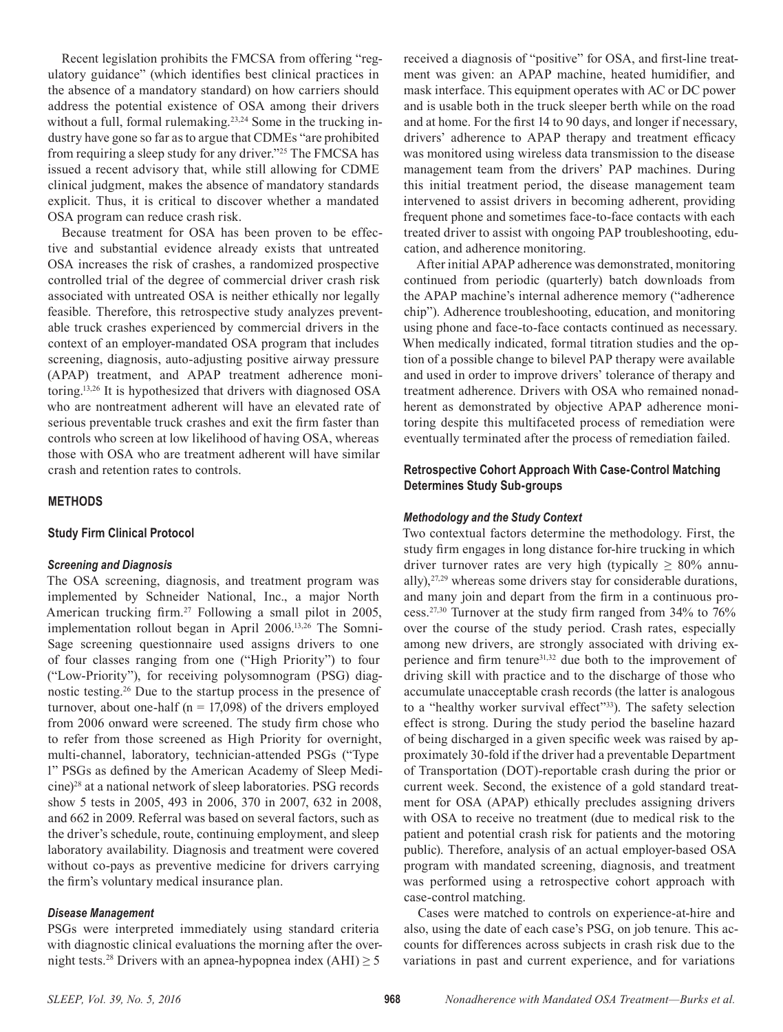Recent legislation prohibits the FMCSA from offering "regulatory guidance" (which identifies best clinical practices in the absence of a mandatory standard) on how carriers should address the potential existence of OSA among their drivers without a full, formal rulemaking.<sup>23,24</sup> Some in the trucking industry have gone so far as to argue that CDMEs "are prohibited from requiring a sleep study for any driver."25 The FMCSA has issued a recent advisory that, while still allowing for CDME clinical judgment, makes the absence of mandatory standards explicit. Thus, it is critical to discover whether a mandated OSA program can reduce crash risk.

Because treatment for OSA has been proven to be effective and substantial evidence already exists that untreated OSA increases the risk of crashes, a randomized prospective controlled trial of the degree of commercial driver crash risk associated with untreated OSA is neither ethically nor legally feasible. Therefore, this retrospective study analyzes preventable truck crashes experienced by commercial drivers in the context of an employer-mandated OSA program that includes screening, diagnosis, auto-adjusting positive airway pressure (APAP) treatment, and APAP treatment adherence monitoring.13,26 It is hypothesized that drivers with diagnosed OSA who are nontreatment adherent will have an elevated rate of serious preventable truck crashes and exit the firm faster than controls who screen at low likelihood of having OSA, whereas those with OSA who are treatment adherent will have similar crash and retention rates to controls.

## **METHODS**

#### **Study Firm Clinical Protocol**

#### *Screening and Diagnosis*

The OSA screening, diagnosis, and treatment program was implemented by Schneider National, Inc., a major North American trucking firm.<sup>27</sup> Following a small pilot in 2005, implementation rollout began in April 2006.13,26 The Somni-Sage screening questionnaire used assigns drivers to one of four classes ranging from one ("High Priority") to four ("Low-Priority"), for receiving polysomnogram (PSG) diagnostic testing.26 Due to the startup process in the presence of turnover, about one-half ( $n = 17,098$ ) of the drivers employed from 2006 onward were screened. The study firm chose who to refer from those screened as High Priority for overnight, multi-channel, laboratory, technician-attended PSGs ("Type 1" PSGs as defined by the American Academy of Sleep Medicine)28 at a national network of sleep laboratories. PSG records show 5 tests in 2005, 493 in 2006, 370 in 2007, 632 in 2008, and 662 in 2009. Referral was based on several factors, such as the driver's schedule, route, continuing employment, and sleep laboratory availability. Diagnosis and treatment were covered without co-pays as preventive medicine for drivers carrying the firm's voluntary medical insurance plan.

#### *Disease Management*

PSGs were interpreted immediately using standard criteria with diagnostic clinical evaluations the morning after the overnight tests.<sup>28</sup> Drivers with an apnea-hypopnea index (AHI)  $\geq$  5

received a diagnosis of "positive" for OSA, and first-line treatment was given: an APAP machine, heated humidifier, and mask interface. This equipment operates with AC or DC power and is usable both in the truck sleeper berth while on the road and at home. For the first 14 to 90 days, and longer if necessary, drivers' adherence to APAP therapy and treatment efficacy was monitored using wireless data transmission to the disease management team from the drivers' PAP machines. During this initial treatment period, the disease management team intervened to assist drivers in becoming adherent, providing frequent phone and sometimes face-to-face contacts with each treated driver to assist with ongoing PAP troubleshooting, education, and adherence monitoring.

After initial APAP adherence was demonstrated, monitoring continued from periodic (quarterly) batch downloads from the APAP machine's internal adherence memory ("adherence chip"). Adherence troubleshooting, education, and monitoring using phone and face-to-face contacts continued as necessary. When medically indicated, formal titration studies and the option of a possible change to bilevel PAP therapy were available and used in order to improve drivers' tolerance of therapy and treatment adherence. Drivers with OSA who remained nonadherent as demonstrated by objective APAP adherence monitoring despite this multifaceted process of remediation were eventually terminated after the process of remediation failed.

# **Retrospective Cohort Approach With Case-Control Matching Determines Study Sub-groups**

#### *Methodology and the Study Context*

Two contextual factors determine the methodology. First, the study firm engages in long distance for-hire trucking in which driver turnover rates are very high (typically  $\geq 80\%$  annually), $27,29$  whereas some drivers stay for considerable durations, and many join and depart from the firm in a continuous process.27,30 Turnover at the study firm ranged from 34% to 76% over the course of the study period. Crash rates, especially among new drivers, are strongly associated with driving experience and firm tenure<sup>31,32</sup> due both to the improvement of driving skill with practice and to the discharge of those who accumulate unacceptable crash records (the latter is analogous to a "healthy worker survival effect"<sup>33</sup>). The safety selection effect is strong. During the study period the baseline hazard of being discharged in a given specific week was raised by approximately 30-fold if the driver had a preventable Department of Transportation (DOT)-reportable crash during the prior or current week. Second, the existence of a gold standard treatment for OSA (APAP) ethically precludes assigning drivers with OSA to receive no treatment (due to medical risk to the patient and potential crash risk for patients and the motoring public). Therefore, analysis of an actual employer-based OSA program with mandated screening, diagnosis, and treatment was performed using a retrospective cohort approach with case-control matching.

Cases were matched to controls on experience-at-hire and also, using the date of each case's PSG, on job tenure. This accounts for differences across subjects in crash risk due to the variations in past and current experience, and for variations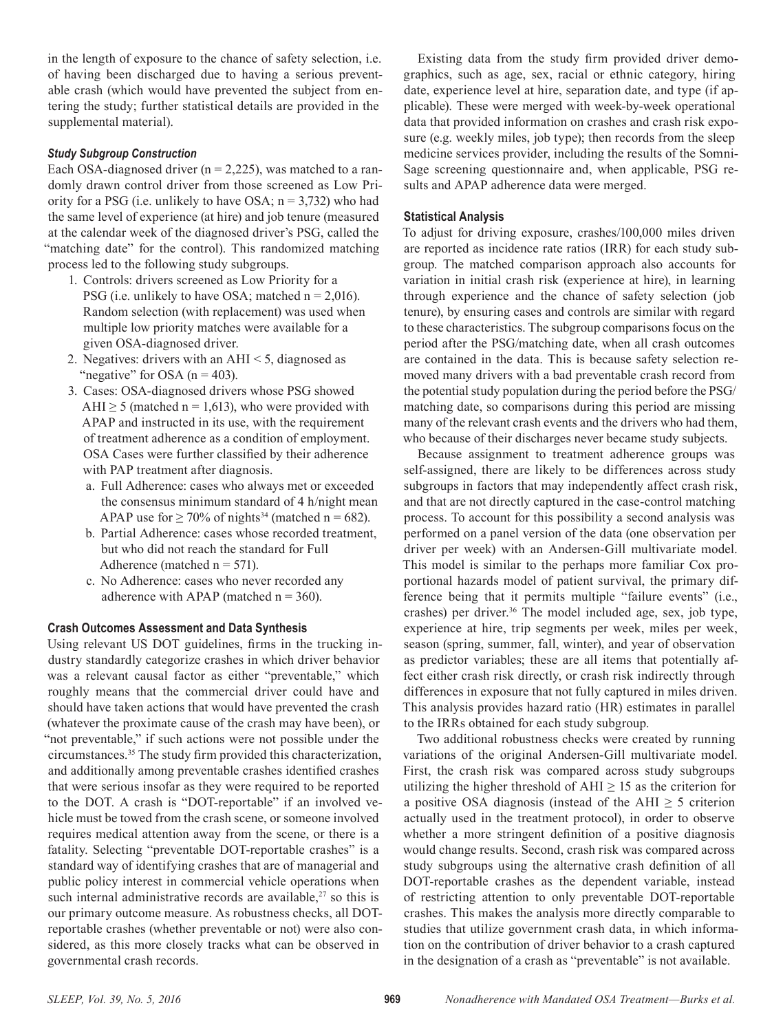in the length of exposure to the chance of safety selection, i.e. of having been discharged due to having a serious preventable crash (which would have prevented the subject from entering the study; further statistical details are provided in the supplemental material).

## *Study Subgroup Construction*

Each OSA-diagnosed driver  $(n = 2,225)$ , was matched to a randomly drawn control driver from those screened as Low Priority for a PSG (i.e. unlikely to have OSA;  $n = 3,732$ ) who had the same level of experience (at hire) and job tenure (measured at the calendar week of the diagnosed driver's PSG, called the "matching date" for the control). This randomized matching process led to the following study subgroups.

- 1. Controls: drivers screened as Low Priority for a PSG (i.e. unlikely to have OSA; matched  $n = 2,016$ ). Random selection (with replacement) was used when multiple low priority matches were available for a given OSA-diagnosed driver.
- 2. Negatives: drivers with an AHI < 5, diagnosed as "negative" for OSA  $(n = 403)$ .
- 3. Cases: OSA-diagnosed drivers whose PSG showed AHI  $\geq$  5 (matched n = 1,613), who were provided with APAP and instructed in its use, with the requirement of treatment adherence as a condition of employment. OSA Cases were further classified by their adherence with PAP treatment after diagnosis.
	- a. Full Adherence: cases who always met or exceeded the consensus minimum standard of 4 h/night mean APAP use for  $\geq 70\%$  of nights<sup>34</sup> (matched n = 682).
	- b. Partial Adherence: cases whose recorded treatment, but who did not reach the standard for Full Adherence (matched  $n = 571$ ).
	- c. No Adherence: cases who never recorded any adherence with APAP (matched  $n = 360$ ).

# **Crash Outcomes Assessment and Data Synthesis**

Using relevant US DOT guidelines, firms in the trucking industry standardly categorize crashes in which driver behavior was a relevant causal factor as either "preventable," which roughly means that the commercial driver could have and should have taken actions that would have prevented the crash (whatever the proximate cause of the crash may have been), or "not preventable," if such actions were not possible under the circumstances.35 The study firm provided this characterization, and additionally among preventable crashes identified crashes that were serious insofar as they were required to be reported to the DOT. A crash is "DOT-reportable" if an involved vehicle must be towed from the crash scene, or someone involved requires medical attention away from the scene, or there is a fatality. Selecting "preventable DOT-reportable crashes" is a standard way of identifying crashes that are of managerial and public policy interest in commercial vehicle operations when such internal administrative records are available, $27$  so this is our primary outcome measure. As robustness checks, all DOTreportable crashes (whether preventable or not) were also considered, as this more closely tracks what can be observed in governmental crash records.

Existing data from the study firm provided driver demographics, such as age, sex, racial or ethnic category, hiring date, experience level at hire, separation date, and type (if applicable). These were merged with week-by-week operational data that provided information on crashes and crash risk exposure (e.g. weekly miles, job type); then records from the sleep medicine services provider, including the results of the Somni-Sage screening questionnaire and, when applicable, PSG results and APAP adherence data were merged.

## **Statistical Analysis**

To adjust for driving exposure, crashes/100,000 miles driven are reported as incidence rate ratios (IRR) for each study subgroup. The matched comparison approach also accounts for variation in initial crash risk (experience at hire), in learning through experience and the chance of safety selection (job tenure), by ensuring cases and controls are similar with regard to these characteristics. The subgroup comparisons focus on the period after the PSG/matching date, when all crash outcomes are contained in the data. This is because safety selection removed many drivers with a bad preventable crash record from the potential study population during the period before the PSG/ matching date, so comparisons during this period are missing many of the relevant crash events and the drivers who had them, who because of their discharges never became study subjects.

Because assignment to treatment adherence groups was self-assigned, there are likely to be differences across study subgroups in factors that may independently affect crash risk, and that are not directly captured in the case-control matching process. To account for this possibility a second analysis was performed on a panel version of the data (one observation per driver per week) with an Andersen-Gill multivariate model. This model is similar to the perhaps more familiar Cox proportional hazards model of patient survival, the primary difference being that it permits multiple "failure events" (i.e., crashes) per driver.<sup>36</sup> The model included age, sex, job type, experience at hire, trip segments per week, miles per week, season (spring, summer, fall, winter), and year of observation as predictor variables; these are all items that potentially affect either crash risk directly, or crash risk indirectly through differences in exposure that not fully captured in miles driven. This analysis provides hazard ratio (HR) estimates in parallel to the IRRs obtained for each study subgroup.

Two additional robustness checks were created by running variations of the original Andersen-Gill multivariate model. First, the crash risk was compared across study subgroups utilizing the higher threshold of  $AHI \ge 15$  as the criterion for a positive OSA diagnosis (instead of the AHI  $\geq$  5 criterion actually used in the treatment protocol), in order to observe whether a more stringent definition of a positive diagnosis would change results. Second, crash risk was compared across study subgroups using the alternative crash definition of all DOT-reportable crashes as the dependent variable, instead of restricting attention to only preventable DOT-reportable crashes. This makes the analysis more directly comparable to studies that utilize government crash data, in which information on the contribution of driver behavior to a crash captured in the designation of a crash as "preventable" is not available.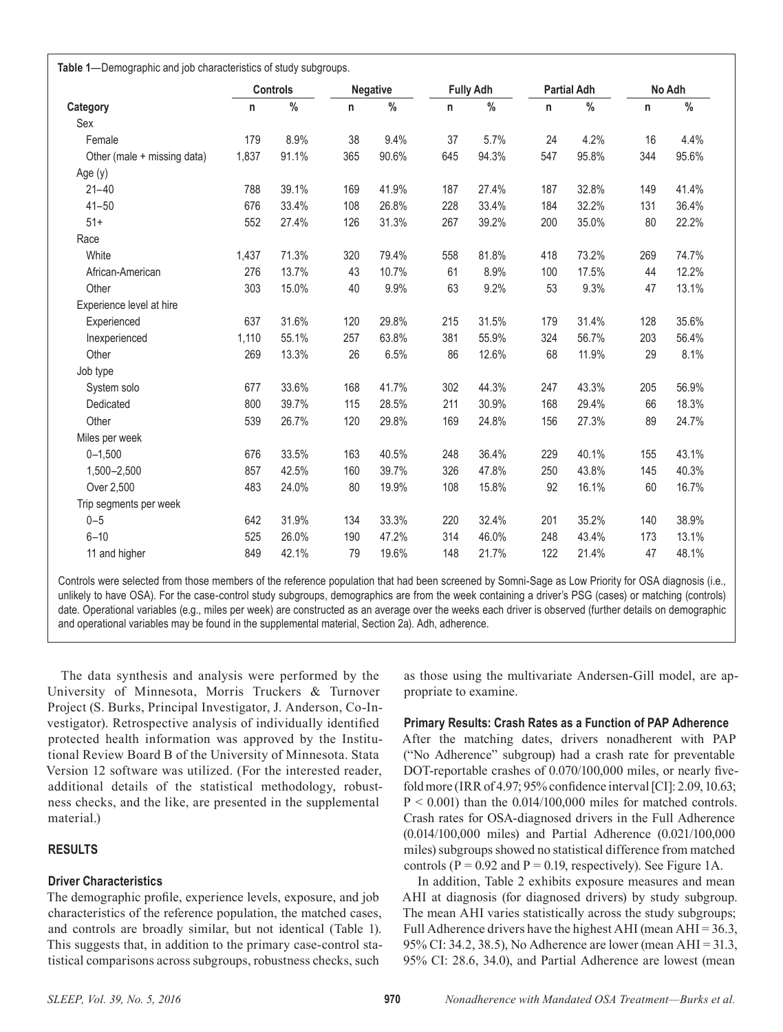**Table 1**—Demographic and job characteristics of study subgroups.

|                             | Controls |       | <b>Negative</b> |       | <b>Fully Adh</b> |       | <b>Partial Adh</b> |       | No Adh |       |
|-----------------------------|----------|-------|-----------------|-------|------------------|-------|--------------------|-------|--------|-------|
| Category                    | n        | $\%$  | n               | $\%$  | n                | $\%$  | n                  | $\%$  | n      | %     |
| Sex                         |          |       |                 |       |                  |       |                    |       |        |       |
| Female                      | 179      | 8.9%  | 38              | 9.4%  | 37               | 5.7%  | 24                 | 4.2%  | 16     | 4.4%  |
| Other (male + missing data) | 1,837    | 91.1% | 365             | 90.6% | 645              | 94.3% | 547                | 95.8% | 344    | 95.6% |
| Age (y)                     |          |       |                 |       |                  |       |                    |       |        |       |
| $21 - 40$                   | 788      | 39.1% | 169             | 41.9% | 187              | 27.4% | 187                | 32.8% | 149    | 41.4% |
| $41 - 50$                   | 676      | 33.4% | 108             | 26.8% | 228              | 33.4% | 184                | 32.2% | 131    | 36.4% |
| $51+$                       | 552      | 27.4% | 126             | 31.3% | 267              | 39.2% | 200                | 35.0% | 80     | 22.2% |
| Race                        |          |       |                 |       |                  |       |                    |       |        |       |
| White                       | 1,437    | 71.3% | 320             | 79.4% | 558              | 81.8% | 418                | 73.2% | 269    | 74.7% |
| African-American            | 276      | 13.7% | 43              | 10.7% | 61               | 8.9%  | 100                | 17.5% | 44     | 12.2% |
| Other                       | 303      | 15.0% | 40              | 9.9%  | 63               | 9.2%  | 53                 | 9.3%  | 47     | 13.1% |
| Experience level at hire    |          |       |                 |       |                  |       |                    |       |        |       |
| Experienced                 | 637      | 31.6% | 120             | 29.8% | 215              | 31.5% | 179                | 31.4% | 128    | 35.6% |
| Inexperienced               | 1,110    | 55.1% | 257             | 63.8% | 381              | 55.9% | 324                | 56.7% | 203    | 56.4% |
| Other                       | 269      | 13.3% | 26              | 6.5%  | 86               | 12.6% | 68                 | 11.9% | 29     | 8.1%  |
| Job type                    |          |       |                 |       |                  |       |                    |       |        |       |
| System solo                 | 677      | 33.6% | 168             | 41.7% | 302              | 44.3% | 247                | 43.3% | 205    | 56.9% |
| Dedicated                   | 800      | 39.7% | 115             | 28.5% | 211              | 30.9% | 168                | 29.4% | 66     | 18.3% |
| Other                       | 539      | 26.7% | 120             | 29.8% | 169              | 24.8% | 156                | 27.3% | 89     | 24.7% |
| Miles per week              |          |       |                 |       |                  |       |                    |       |        |       |
| $0 - 1,500$                 | 676      | 33.5% | 163             | 40.5% | 248              | 36.4% | 229                | 40.1% | 155    | 43.1% |
| 1,500-2,500                 | 857      | 42.5% | 160             | 39.7% | 326              | 47.8% | 250                | 43.8% | 145    | 40.3% |
| Over 2,500                  | 483      | 24.0% | 80              | 19.9% | 108              | 15.8% | 92                 | 16.1% | 60     | 16.7% |
| Trip segments per week      |          |       |                 |       |                  |       |                    |       |        |       |
| $0 - 5$                     | 642      | 31.9% | 134             | 33.3% | 220              | 32.4% | 201                | 35.2% | 140    | 38.9% |
| $6 - 10$                    | 525      | 26.0% | 190             | 47.2% | 314              | 46.0% | 248                | 43.4% | 173    | 13.1% |
| 11 and higher               | 849      | 42.1% | 79              | 19.6% | 148              | 21.7% | 122                | 21.4% | 47     | 48.1% |

Controls were selected from those members of the reference population that had been screened by Somni-Sage as Low Priority for OSA diagnosis (i.e., unlikely to have OSA). For the case-control study subgroups, demographics are from the week containing a driver's PSG (cases) or matching (controls) date. Operational variables (e.g., miles per week) are constructed as an average over the weeks each driver is observed (further details on demographic and operational variables may be found in the supplemental material, Section 2a). Adh, adherence.

The data synthesis and analysis were performed by the University of Minnesota, Morris Truckers & Turnover Project (S. Burks, Principal Investigator, J. Anderson, Co-Investigator). Retrospective analysis of individually identified protected health information was approved by the Institutional Review Board B of the University of Minnesota. Stata Version 12 software was utilized. (For the interested reader, additional details of the statistical methodology, robustness checks, and the like, are presented in the supplemental material.)

# **RESULTS**

# **Driver Characteristics**

The demographic profile, experience levels, exposure, and job characteristics of the reference population, the matched cases, and controls are broadly similar, but not identical (Table 1). This suggests that, in addition to the primary case-control statistical comparisons across subgroups, robustness checks, such

as those using the multivariate Andersen-Gill model, are appropriate to examine.

# **Primary Results: Crash Rates as a Function of PAP Adherence**

After the matching dates, drivers nonadherent with PAP ("No Adherence" subgroup) had a crash rate for preventable DOT-reportable crashes of 0.070/100,000 miles, or nearly fivefold more (IRR of 4.97; 95% confidence interval [CI]: 2.09, 10.63;  $P < 0.001$ ) than the  $0.014/100,000$  miles for matched controls. Crash rates for OSA-diagnosed drivers in the Full Adherence (0.014/100,000 miles) and Partial Adherence (0.021/100,000 miles) subgroups showed no statistical difference from matched controls ( $P = 0.92$  and  $P = 0.19$ , respectively). See Figure 1A.

In addition, Table 2 exhibits exposure measures and mean AHI at diagnosis (for diagnosed drivers) by study subgroup. The mean AHI varies statistically across the study subgroups; Full Adherence drivers have the highest AHI (mean  $AHI = 36.3$ , 95% CI: 34.2, 38.5), No Adherence are lower (mean AHI = 31.3, 95% CI: 28.6, 34.0), and Partial Adherence are lowest (mean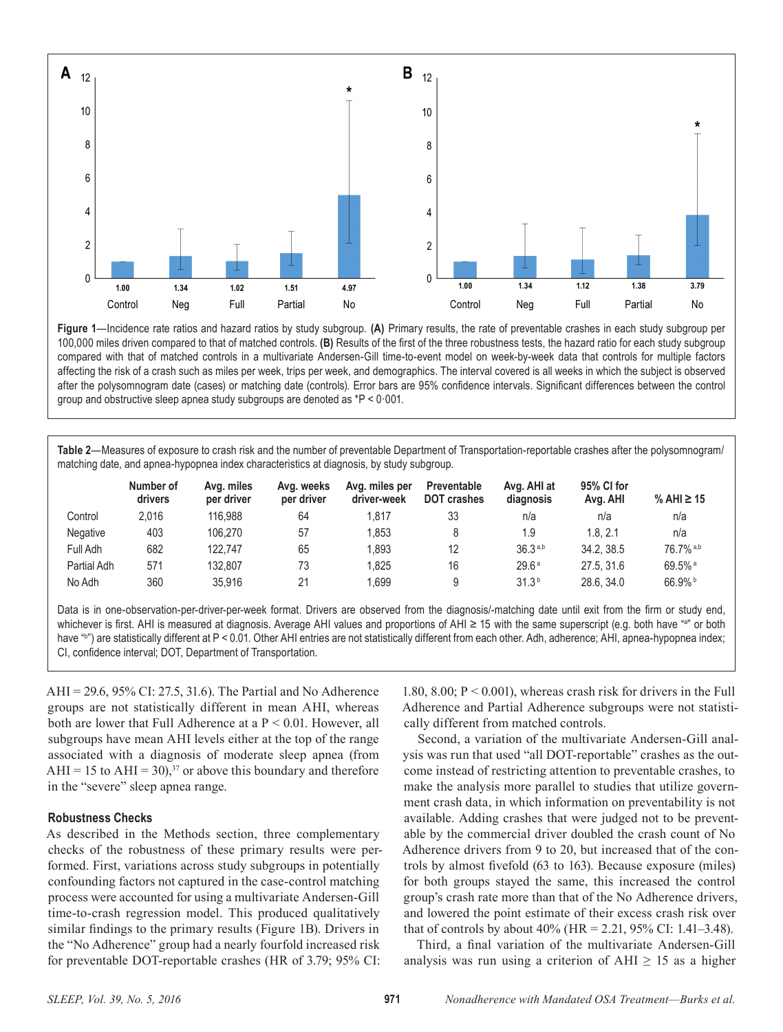

**Figure 1**—Incidence rate ratios and hazard ratios by study subgroup. **(A)** Primary results, the rate of preventable crashes in each study subgroup per 100,000 miles driven compared to that of matched controls. **(B)** Results of the first of the three robustness tests, the hazard ratio for each study subgroup compared with that of matched controls in a multivariate Andersen-Gill time-to-event model on week-by-week data that controls for multiple factors affecting the risk of a crash such as miles per week, trips per week, and demographics. The interval covered is all weeks in which the subject is observed after the polysomnogram date (cases) or matching date (controls). Error bars are 95% confidence intervals. Significant differences between the control group and obstructive sleep apnea study subgroups are denoted as \*P < 0·001.

**Table 2**—Measures of exposure to crash risk and the number of preventable Department of Transportation-reportable crashes after the polysomnogram/ matching date, and apnea-hypopnea index characteristics at diagnosis, by study subgroup.

|                 | Number of<br>drivers | Avg. miles<br>per driver | Ava. weeks<br>per driver | Avg. miles per<br>driver-week | Preventable<br><b>DOT crashes</b> | Avg. AHI at<br>diagnosis | 95% CI for<br>Avg. AHI | % AHI $\geq 15$      |
|-----------------|----------------------|--------------------------|--------------------------|-------------------------------|-----------------------------------|--------------------------|------------------------|----------------------|
| Control         | 2.016                | 116.988                  | 64                       | l.817                         | 33                                | n/a                      | n/a                    | n/a                  |
| <b>Negative</b> | 403                  | 106.270                  | 57                       | .853                          |                                   | 1.9                      | 1.8.2.1                | n/a                  |
| Full Adh        | 682                  | 122.747                  | 65                       | 1.893                         | 12                                | 36.3a,b                  | 34.2.38.5              | 76.7% a,b            |
| Partial Adh     | 571                  | 132.807                  | 73                       | 1.825                         | 16                                | 29.6 <sup>a</sup>        | 27.5.31.6              | $69.5%$ <sup>a</sup> |
| No Adh          | 360                  | 35.916                   | 21                       | 1.699                         |                                   | 31.3 <sup>b</sup>        | 28.6.34.0              | $66.9\%$             |

Data is in one-observation-per-driver-per-week format. Drivers are observed from the diagnosis/-matching date until exit from the firm or study end, whichever is first. AHI is measured at diagnosis. Average AHI values and proportions of AHI ≥ 15 with the same superscript (e.g. both have "a" or both have "b ") are statistically different at P < 0.01. Other AHI entries are not statistically different from each other. Adh, adherence; AHI, apnea-hypopnea index; CI, confidence interval; DOT, Department of Transportation.

AHI = 29.6, 95% CI: 27.5, 31.6). The Partial and No Adherence groups are not statistically different in mean AHI, whereas both are lower that Full Adherence at a P < 0.01. However, all subgroups have mean AHI levels either at the top of the range associated with a diagnosis of moderate sleep apnea (from AHI = 15 to AHI = 30),<sup>37</sup> or above this boundary and therefore in the "severe" sleep apnea range.

#### **Robustness Checks**

As described in the Methods section, three complementary checks of the robustness of these primary results were performed. First, variations across study subgroups in potentially confounding factors not captured in the case-control matching process were accounted for using a multivariate Andersen-Gill time-to-crash regression model. This produced qualitatively similar findings to the primary results (Figure 1B). Drivers in the "No Adherence" group had a nearly fourfold increased risk for preventable DOT-reportable crashes (HR of 3.79; 95% CI:

1.80, 8.00; P < 0.001), whereas crash risk for drivers in the Full Adherence and Partial Adherence subgroups were not statistically different from matched controls.

Second, a variation of the multivariate Andersen-Gill analysis was run that used "all DOT-reportable" crashes as the outcome instead of restricting attention to preventable crashes, to make the analysis more parallel to studies that utilize government crash data, in which information on preventability is not available. Adding crashes that were judged not to be preventable by the commercial driver doubled the crash count of No Adherence drivers from 9 to 20, but increased that of the controls by almost fivefold (63 to 163). Because exposure (miles) for both groups stayed the same, this increased the control group's crash rate more than that of the No Adherence drivers, and lowered the point estimate of their excess crash risk over that of controls by about 40% (HR = 2.21, 95% CI: 1.41–3.48).

Third, a final variation of the multivariate Andersen-Gill analysis was run using a criterion of AHI  $\geq$  15 as a higher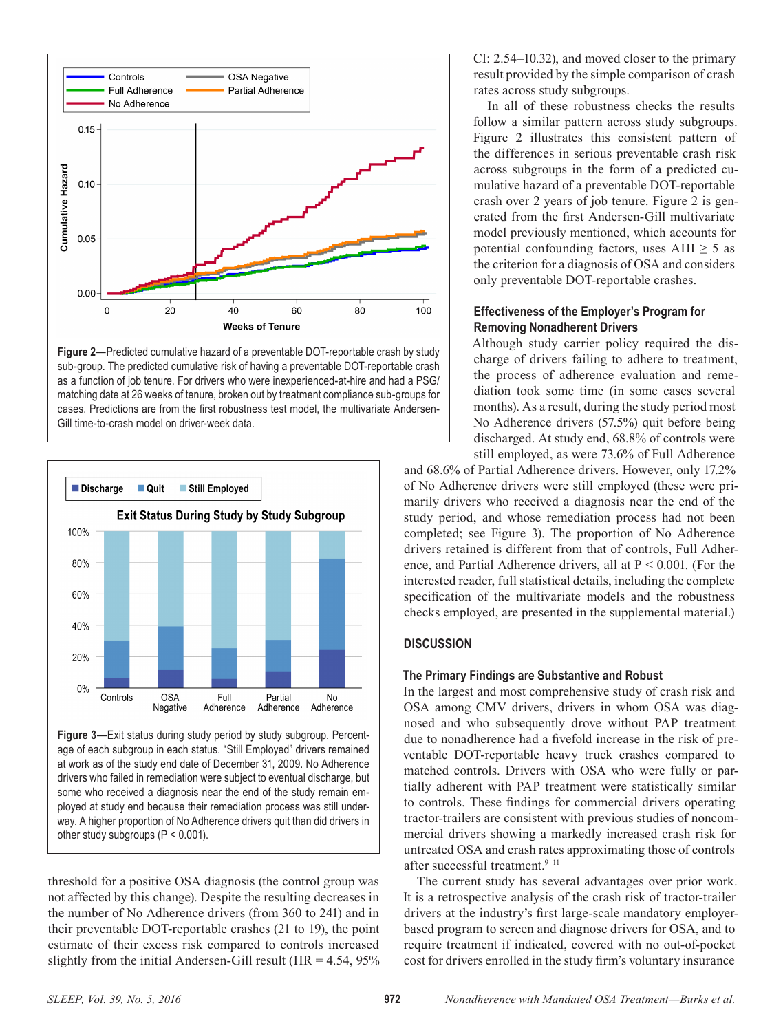

**Figure 2**—Predicted cumulative hazard of a preventable DOT-reportable crash by study sub-group. The predicted cumulative risk of having a preventable DOT-reportable crash as a function of job tenure. For drivers who were inexperienced-at-hire and had a PSG/ matching date at 26 weeks of tenure, broken out by treatment compliance sub-groups for cases. Predictions are from the first robustness test model, the multivariate Andersen-Gill time-to-crash model on driver-week data.



**Figure 3**—Exit status during study period by study subgroup. Percentage of each subgroup in each status. "Still Employed" drivers remained at work as of the study end date of December 31, 2009. No Adherence drivers who failed in remediation were subject to eventual discharge, but some who received a diagnosis near the end of the study remain employed at study end because their remediation process was still underway. A higher proportion of No Adherence drivers quit than did drivers in other study subgroups (P < 0.001).

threshold for a positive OSA diagnosis (the control group was not affected by this change). Despite the resulting decreases in the number of No Adherence drivers (from 360 to 241) and in their preventable DOT-reportable crashes (21 to 19), the point estimate of their excess risk compared to controls increased slightly from the initial Andersen-Gill result ( $HR = 4.54$ ,  $95\%$ ) CI: 2.54–10.32), and moved closer to the primary result provided by the simple comparison of crash rates across study subgroups.

In all of these robustness checks the results follow a similar pattern across study subgroups. Figure 2 illustrates this consistent pattern of the differences in serious preventable crash risk across subgroups in the form of a predicted cumulative hazard of a preventable DOT-reportable crash over 2 years of job tenure. Figure 2 is generated from the first Andersen-Gill multivariate model previously mentioned, which accounts for potential confounding factors, uses  $\text{AHI} \geq 5$  as the criterion for a diagnosis of OSA and considers only preventable DOT-reportable crashes.

# **Effectiveness of the Employer's Program for Removing Nonadherent Drivers**

Although study carrier policy required the discharge of drivers failing to adhere to treatment, the process of adherence evaluation and remediation took some time (in some cases several months). As a result, during the study period most No Adherence drivers (57.5%) quit before being discharged. At study end, 68.8% of controls were still employed, as were 73.6% of Full Adherence

and 68.6% of Partial Adherence drivers. However, only 17.2% of No Adherence drivers were still employed (these were primarily drivers who received a diagnosis near the end of the study period, and whose remediation process had not been completed; see Figure 3). The proportion of No Adherence drivers retained is different from that of controls, Full Adherence, and Partial Adherence drivers, all at P < 0.001. (For the interested reader, full statistical details, including the complete specification of the multivariate models and the robustness checks employed, are presented in the supplemental material.)

# **DISCUSSION**

## **The Primary Findings are Substantive and Robust**

In the largest and most comprehensive study of crash risk and OSA among CMV drivers, drivers in whom OSA was diagnosed and who subsequently drove without PAP treatment due to nonadherence had a fivefold increase in the risk of preventable DOT-reportable heavy truck crashes compared to matched controls. Drivers with OSA who were fully or partially adherent with PAP treatment were statistically similar to controls. These findings for commercial drivers operating tractor-trailers are consistent with previous studies of noncommercial drivers showing a markedly increased crash risk for untreated OSA and crash rates approximating those of controls after successful treatment.<sup>9-11</sup>

The current study has several advantages over prior work. It is a retrospective analysis of the crash risk of tractor-trailer drivers at the industry's first large-scale mandatory employerbased program to screen and diagnose drivers for OSA, and to require treatment if indicated, covered with no out-of-pocket cost for drivers enrolled in the study firm's voluntary insurance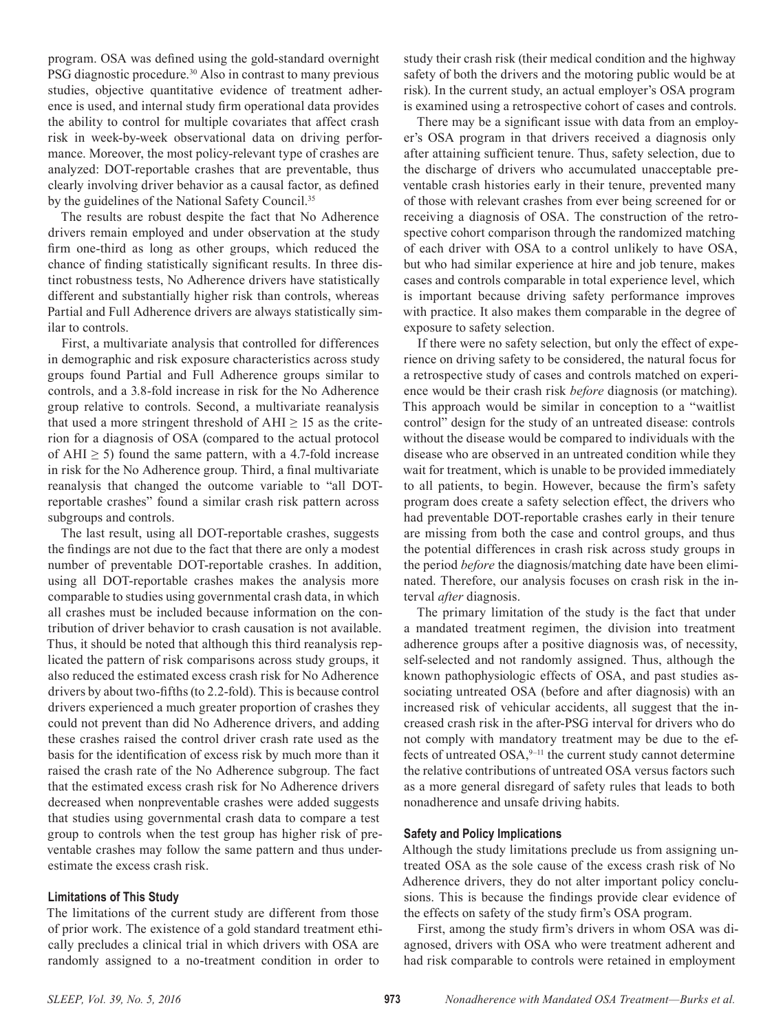program. OSA was defined using the gold-standard overnight PSG diagnostic procedure.<sup>30</sup> Also in contrast to many previous studies, objective quantitative evidence of treatment adherence is used, and internal study firm operational data provides the ability to control for multiple covariates that affect crash risk in week-by-week observational data on driving performance. Moreover, the most policy-relevant type of crashes are analyzed: DOT-reportable crashes that are preventable, thus clearly involving driver behavior as a causal factor, as defined by the guidelines of the National Safety Council.<sup>35</sup>

The results are robust despite the fact that No Adherence drivers remain employed and under observation at the study firm one-third as long as other groups, which reduced the chance of finding statistically significant results. In three distinct robustness tests, No Adherence drivers have statistically different and substantially higher risk than controls, whereas Partial and Full Adherence drivers are always statistically similar to controls.

First, a multivariate analysis that controlled for differences in demographic and risk exposure characteristics across study groups found Partial and Full Adherence groups similar to controls, and a 3.8-fold increase in risk for the No Adherence group relative to controls. Second, a multivariate reanalysis that used a more stringent threshold of  $AHI \geq 15$  as the criterion for a diagnosis of OSA (compared to the actual protocol of AHI  $\geq$  5) found the same pattern, with a 4.7-fold increase in risk for the No Adherence group. Third, a final multivariate reanalysis that changed the outcome variable to "all DOTreportable crashes" found a similar crash risk pattern across subgroups and controls.

The last result, using all DOT-reportable crashes, suggests the findings are not due to the fact that there are only a modest number of preventable DOT-reportable crashes. In addition, using all DOT-reportable crashes makes the analysis more comparable to studies using governmental crash data, in which all crashes must be included because information on the contribution of driver behavior to crash causation is not available. Thus, it should be noted that although this third reanalysis replicated the pattern of risk comparisons across study groups, it also reduced the estimated excess crash risk for No Adherence drivers by about two-fifths (to 2.2-fold). This is because control drivers experienced a much greater proportion of crashes they could not prevent than did No Adherence drivers, and adding these crashes raised the control driver crash rate used as the basis for the identification of excess risk by much more than it raised the crash rate of the No Adherence subgroup. The fact that the estimated excess crash risk for No Adherence drivers decreased when nonpreventable crashes were added suggests that studies using governmental crash data to compare a test group to controls when the test group has higher risk of preventable crashes may follow the same pattern and thus underestimate the excess crash risk.

#### **Limitations of This Study**

The limitations of the current study are different from those of prior work. The existence of a gold standard treatment ethically precludes a clinical trial in which drivers with OSA are randomly assigned to a no-treatment condition in order to

study their crash risk (their medical condition and the highway safety of both the drivers and the motoring public would be at risk). In the current study, an actual employer's OSA program is examined using a retrospective cohort of cases and controls.

There may be a significant issue with data from an employer's OSA program in that drivers received a diagnosis only after attaining sufficient tenure. Thus, safety selection, due to the discharge of drivers who accumulated unacceptable preventable crash histories early in their tenure, prevented many of those with relevant crashes from ever being screened for or receiving a diagnosis of OSA. The construction of the retrospective cohort comparison through the randomized matching of each driver with OSA to a control unlikely to have OSA, but who had similar experience at hire and job tenure, makes cases and controls comparable in total experience level, which is important because driving safety performance improves with practice. It also makes them comparable in the degree of exposure to safety selection.

If there were no safety selection, but only the effect of experience on driving safety to be considered, the natural focus for a retrospective study of cases and controls matched on experience would be their crash risk *before* diagnosis (or matching). This approach would be similar in conception to a "waitlist control" design for the study of an untreated disease: controls without the disease would be compared to individuals with the disease who are observed in an untreated condition while they wait for treatment, which is unable to be provided immediately to all patients, to begin. However, because the firm's safety program does create a safety selection effect, the drivers who had preventable DOT-reportable crashes early in their tenure are missing from both the case and control groups, and thus the potential differences in crash risk across study groups in the period *before* the diagnosis/matching date have been eliminated. Therefore, our analysis focuses on crash risk in the interval *after* diagnosis.

The primary limitation of the study is the fact that under a mandated treatment regimen, the division into treatment adherence groups after a positive diagnosis was, of necessity, self-selected and not randomly assigned. Thus, although the known pathophysiologic effects of OSA, and past studies associating untreated OSA (before and after diagnosis) with an increased risk of vehicular accidents, all suggest that the increased crash risk in the after-PSG interval for drivers who do not comply with mandatory treatment may be due to the effects of untreated  $OSA$ ,<sup>9-11</sup> the current study cannot determine the relative contributions of untreated OSA versus factors such as a more general disregard of safety rules that leads to both nonadherence and unsafe driving habits.

## **Safety and Policy Implications**

Although the study limitations preclude us from assigning untreated OSA as the sole cause of the excess crash risk of No Adherence drivers, they do not alter important policy conclusions. This is because the findings provide clear evidence of the effects on safety of the study firm's OSA program.

First, among the study firm's drivers in whom OSA was diagnosed, drivers with OSA who were treatment adherent and had risk comparable to controls were retained in employment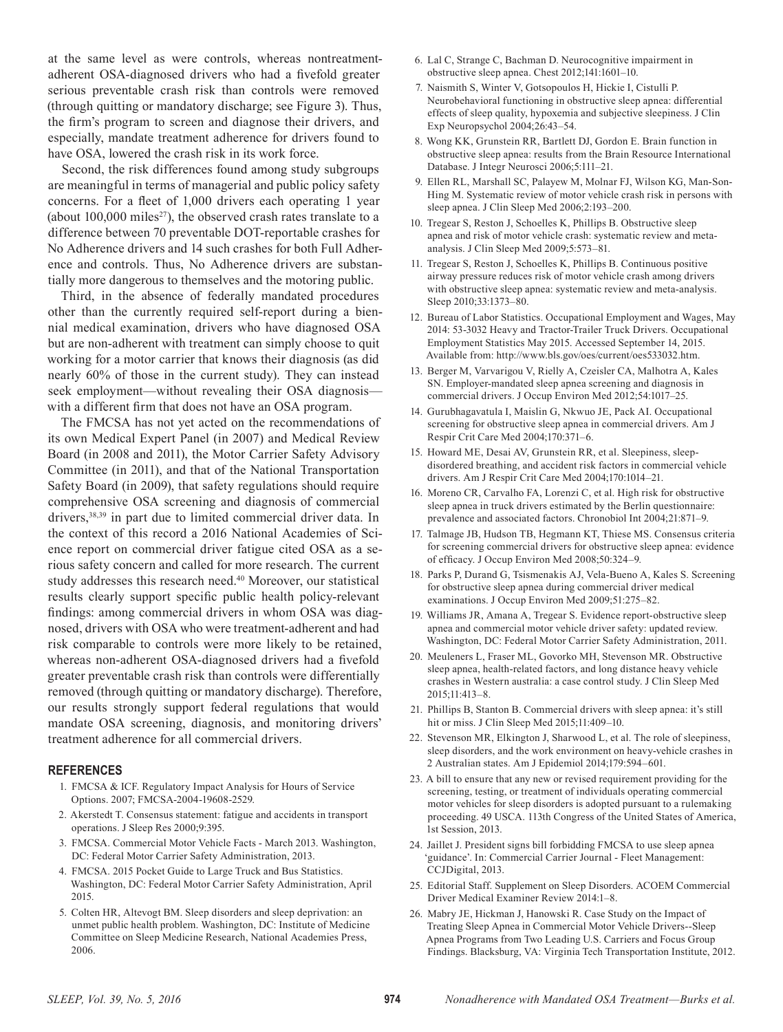at the same level as were controls, whereas nontreatmentadherent OSA-diagnosed drivers who had a fivefold greater serious preventable crash risk than controls were removed (through quitting or mandatory discharge; see Figure 3). Thus, the firm's program to screen and diagnose their drivers, and especially, mandate treatment adherence for drivers found to have OSA, lowered the crash risk in its work force.

Second, the risk differences found among study subgroups are meaningful in terms of managerial and public policy safety concerns. For a fleet of 1,000 drivers each operating 1 year (about  $100,000$  miles<sup>27</sup>), the observed crash rates translate to a difference between 70 preventable DOT-reportable crashes for No Adherence drivers and 14 such crashes for both Full Adherence and controls. Thus, No Adherence drivers are substantially more dangerous to themselves and the motoring public.

Third, in the absence of federally mandated procedures other than the currently required self-report during a biennial medical examination, drivers who have diagnosed OSA but are non-adherent with treatment can simply choose to quit working for a motor carrier that knows their diagnosis (as did nearly 60% of those in the current study). They can instead seek employment—without revealing their OSA diagnosis with a different firm that does not have an OSA program.

The FMCSA has not yet acted on the recommendations of its own Medical Expert Panel (in 2007) and Medical Review Board (in 2008 and 2011), the Motor Carrier Safety Advisory Committee (in 2011), and that of the National Transportation Safety Board (in 2009), that safety regulations should require comprehensive OSA screening and diagnosis of commercial drivers,38,39 in part due to limited commercial driver data. In the context of this record a 2016 National Academies of Science report on commercial driver fatigue cited OSA as a serious safety concern and called for more research. The current study addresses this research need.40 Moreover, our statistical results clearly support specific public health policy-relevant findings: among commercial drivers in whom OSA was diagnosed, drivers with OSA who were treatment-adherent and had risk comparable to controls were more likely to be retained, whereas non-adherent OSA-diagnosed drivers had a fivefold greater preventable crash risk than controls were differentially removed (through quitting or mandatory discharge). Therefore, our results strongly support federal regulations that would mandate OSA screening, diagnosis, and monitoring drivers' treatment adherence for all commercial drivers.

#### **REFERENCES**

- 1. FMCSA & ICF. Regulatory Impact Analysis for Hours of Service Options. 2007; FMCSA-2004-19608-2529.
- 2. Akerstedt T. Consensus statement: fatigue and accidents in transport operations. J Sleep Res 2000;9:395.
- 3. FMCSA. Commercial Motor Vehicle Facts March 2013. Washington, DC: Federal Motor Carrier Safety Administration, 2013.
- 4. FMCSA. 2015 Pocket Guide to Large Truck and Bus Statistics. Washington, DC: Federal Motor Carrier Safety Administration, April 2015.
- 5. Colten HR, Altevogt BM. Sleep disorders and sleep deprivation: an unmet public health problem. Washington, DC: Institute of Medicine Committee on Sleep Medicine Research, National Academies Press, 2006.
- 6. Lal C, Strange C, Bachman D. Neurocognitive impairment in obstructive sleep apnea. Chest 2012;141:1601–10.
- 7. Naismith S, Winter V, Gotsopoulos H, Hickie I, Cistulli P. Neurobehavioral functioning in obstructive sleep apnea: differential effects of sleep quality, hypoxemia and subjective sleepiness. J Clin Exp Neuropsychol 2004;26:43–54.
- 8. Wong KK, Grunstein RR, Bartlett DJ, Gordon E. Brain function in obstructive sleep apnea: results from the Brain Resource International Database. J Integr Neurosci 2006;5:111–21.
- 9. Ellen RL, Marshall SC, Palayew M, Molnar FJ, Wilson KG, Man-Son-Hing M. Systematic review of motor vehicle crash risk in persons with sleep apnea. J Clin Sleep Med 2006;2:193–200.
- 10. Tregear S, Reston J, Schoelles K, Phillips B. Obstructive sleep apnea and risk of motor vehicle crash: systematic review and metaanalysis. J Clin Sleep Med 2009;5:573–81.
- 11. Tregear S, Reston J, Schoelles K, Phillips B. Continuous positive airway pressure reduces risk of motor vehicle crash among drivers with obstructive sleep apnea: systematic review and meta-analysis. Sleep 2010;33:1373–80.
- 12. Bureau of Labor Statistics. Occupational Employment and Wages, May 2014: 53-3032 Heavy and Tractor-Trailer Truck Drivers. Occupational Employment Statistics May 2015. Accessed September 14, 2015. Available from: http://www.bls.gov/oes/current/oes533032.htm.
- 13. Berger M, Varvarigou V, Rielly A, Czeisler CA, Malhotra A, Kales SN. Employer-mandated sleep apnea screening and diagnosis in commercial drivers. J Occup Environ Med 2012;54:1017–25.
- 14. Gurubhagavatula I, Maislin G, Nkwuo JE, Pack AI. Occupational screening for obstructive sleep apnea in commercial drivers. Am J Respir Crit Care Med 2004;170:371–6.
- 15. Howard ME, Desai AV, Grunstein RR, et al. Sleepiness, sleepdisordered breathing, and accident risk factors in commercial vehicle drivers. Am J Respir Crit Care Med 2004;170:1014–21.
- 16. Moreno CR, Carvalho FA, Lorenzi C, et al. High risk for obstructive sleep apnea in truck drivers estimated by the Berlin questionnaire: prevalence and associated factors. Chronobiol Int 2004;21:871–9.
- 17. Talmage JB, Hudson TB, Hegmann KT, Thiese MS. Consensus criteria for screening commercial drivers for obstructive sleep apnea: evidence of efficacy. J Occup Environ Med 2008;50:324–9.
- 18. Parks P, Durand G, Tsismenakis AJ, Vela-Bueno A, Kales S. Screening for obstructive sleep apnea during commercial driver medical examinations. J Occup Environ Med 2009;51:275–82.
- 19. Williams JR, Amana A, Tregear S. Evidence report-obstructive sleep apnea and commercial motor vehicle driver safety: updated review. Washington, DC: Federal Motor Carrier Safety Administration, 2011.
- 20. Meuleners L, Fraser ML, Govorko MH, Stevenson MR. Obstructive sleep apnea, health-related factors, and long distance heavy vehicle crashes in Western australia: a case control study. J Clin Sleep Med 2015;11:413–8.
- 21. Phillips B, Stanton B. Commercial drivers with sleep apnea: it's still hit or miss. J Clin Sleep Med 2015;11:409–10.
- 22. Stevenson MR, Elkington J, Sharwood L, et al. The role of sleepiness, sleep disorders, and the work environment on heavy-vehicle crashes in 2 Australian states. Am J Epidemiol 2014;179:594–601.
- 23. A bill to ensure that any new or revised requirement providing for the screening, testing, or treatment of individuals operating commercial motor vehicles for sleep disorders is adopted pursuant to a rulemaking proceeding. 49 USCA. 113th Congress of the United States of America, 1st Session, 2013.
- 24. Jaillet J. President signs bill forbidding FMCSA to use sleep apnea 'guidance'. In: Commercial Carrier Journal - Fleet Management: CCJDigital, 2013.
- 25. Editorial Staff. Supplement on Sleep Disorders. ACOEM Commercial Driver Medical Examiner Review 2014:1–8.
- 26. Mabry JE, Hickman J, Hanowski R. Case Study on the Impact of Treating Sleep Apnea in Commercial Motor Vehicle Drivers--Sleep Apnea Programs from Two Leading U.S. Carriers and Focus Group Findings. Blacksburg, VA: Virginia Tech Transportation Institute, 2012.